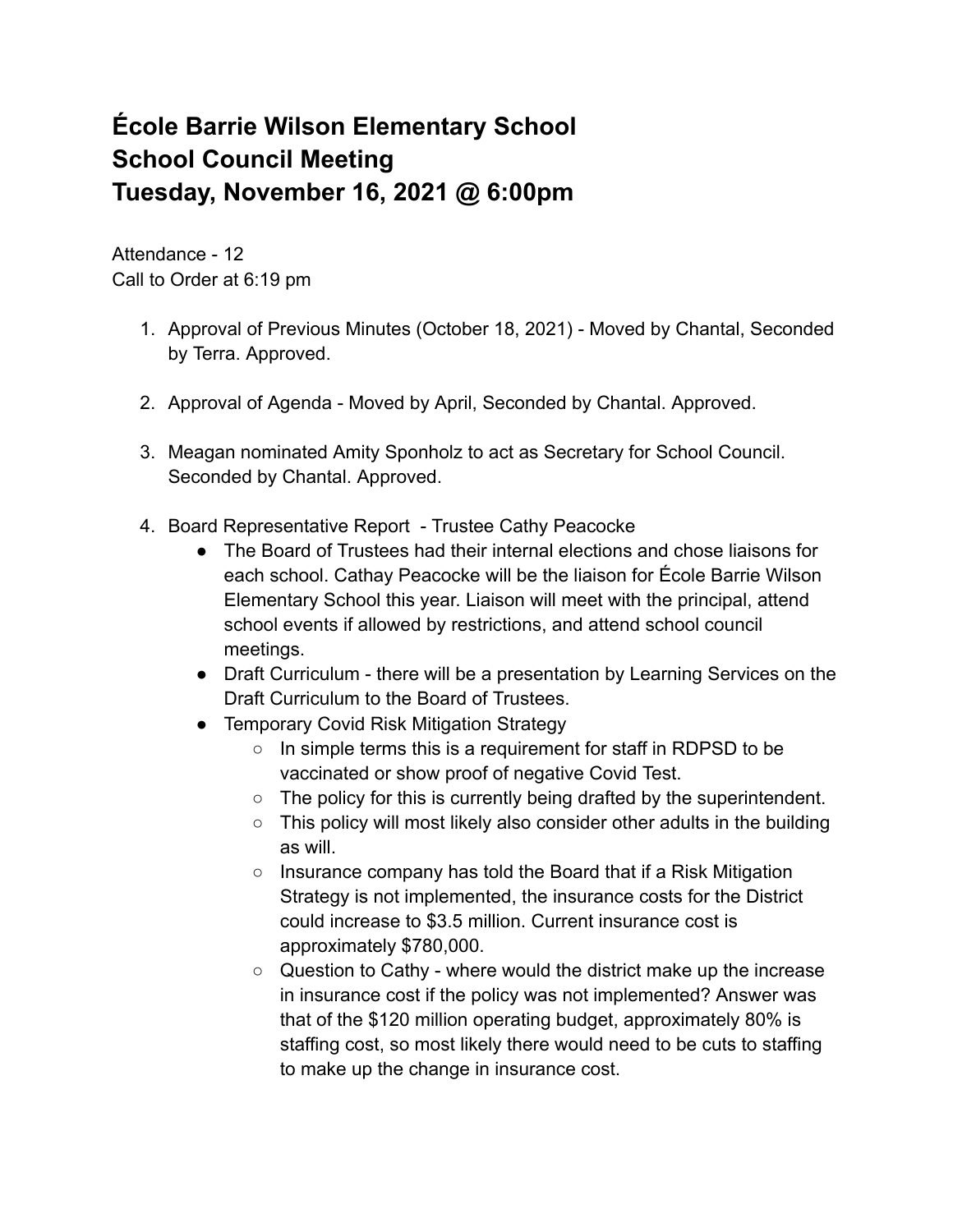## **École Barrie Wilson Elementary School School Council Meeting Tuesday, November 16, 2021 @ 6:00pm**

Attendance - 12 Call to Order at 6:19 pm

- 1. Approval of Previous Minutes (October 18, 2021) Moved by Chantal, Seconded by Terra. Approved.
- 2. Approval of Agenda Moved by April, Seconded by Chantal. Approved.
- 3. Meagan nominated Amity Sponholz to act as Secretary for School Council. Seconded by Chantal. Approved.
- 4. Board Representative Report Trustee Cathy Peacocke
	- The Board of Trustees had their internal elections and chose liaisons for each school. Cathay Peacocke will be the liaison for École Barrie Wilson Elementary School this year. Liaison will meet with the principal, attend school events if allowed by restrictions, and attend school council meetings.
	- Draft Curriculum there will be a presentation by Learning Services on the Draft Curriculum to the Board of Trustees.
	- Temporary Covid Risk Mitigation Strategy
		- In simple terms this is a requirement for staff in RDPSD to be vaccinated or show proof of negative Covid Test.
		- The policy for this is currently being drafted by the superintendent.
		- This policy will most likely also consider other adults in the building as will.
		- Insurance company has told the Board that if a Risk Mitigation Strategy is not implemented, the insurance costs for the District could increase to \$3.5 million. Current insurance cost is approximately \$780,000.
		- Question to Cathy where would the district make up the increase in insurance cost if the policy was not implemented? Answer was that of the \$120 million operating budget, approximately 80% is staffing cost, so most likely there would need to be cuts to staffing to make up the change in insurance cost.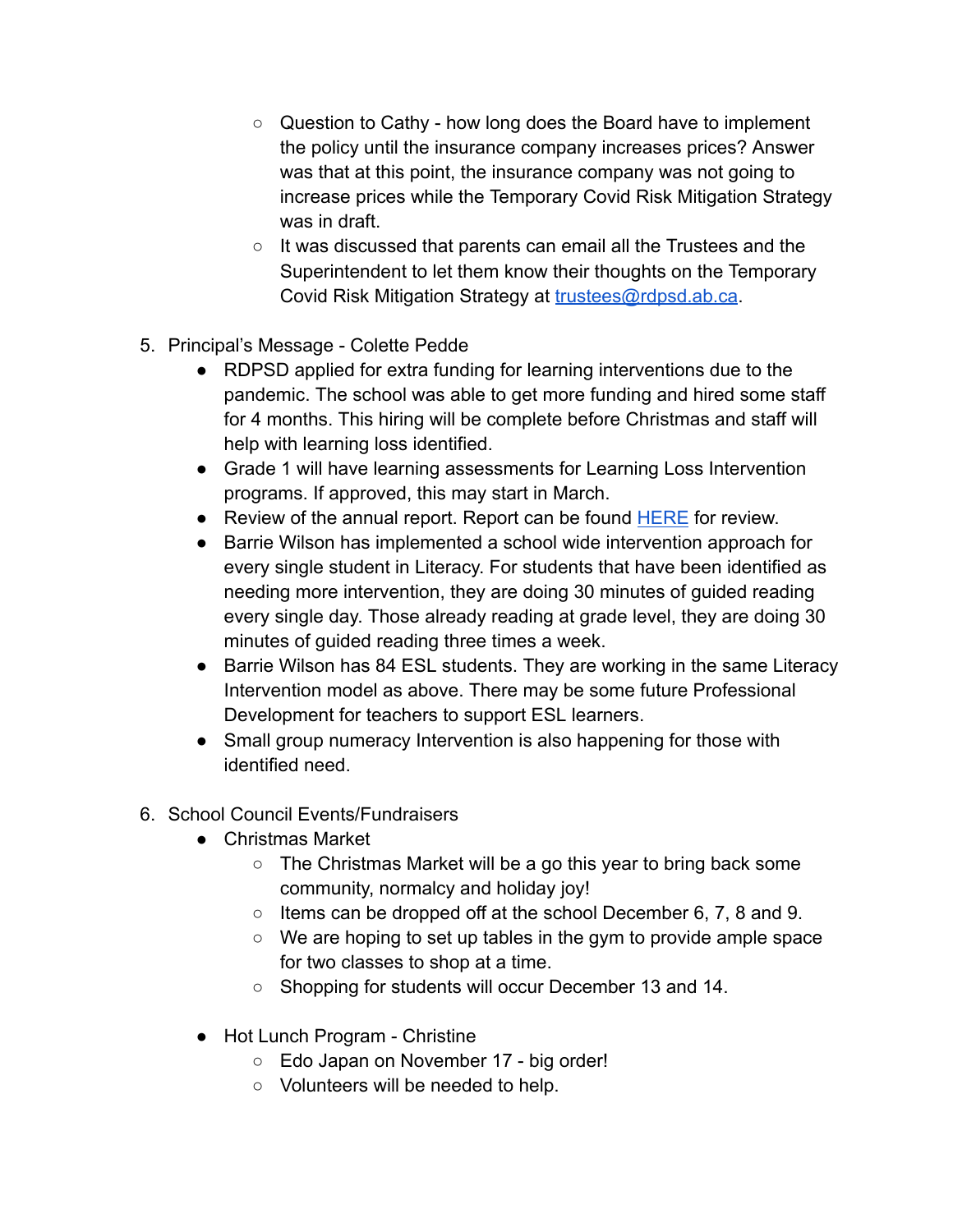- Question to Cathy how long does the Board have to implement the policy until the insurance company increases prices? Answer was that at this point, the insurance company was not going to increase prices while the Temporary Covid Risk Mitigation Strategy was in draft.
- It was discussed that parents can email all the Trustees and the Superintendent to let them know their thoughts on the Temporary Covid Risk Mitigation Strategy at **[trustees@rdpsd.ab.ca](mailto:trustees@rdpsd.ab.ca)**.
- 5. Principal's Message Colette Pedde
	- RDPSD applied for extra funding for learning interventions due to the pandemic. The school was able to get more funding and hired some staff for 4 months. This hiring will be complete before Christmas and staff will help with learning loss identified.
	- Grade 1 will have learning assessments for Learning Loss Intervention programs. If approved, this may start in March.
	- Review of the annual report. Report can be found [HERE](http://barriewilson.rdpsd.ab.ca/view.php?action=documents&id=505&header=Annual%20Results%20Report) for review.
	- Barrie Wilson has implemented a school wide intervention approach for every single student in Literacy. For students that have been identified as needing more intervention, they are doing 30 minutes of guided reading every single day. Those already reading at grade level, they are doing 30 minutes of guided reading three times a week.
	- Barrie Wilson has 84 ESL students. They are working in the same Literacy Intervention model as above. There may be some future Professional Development for teachers to support ESL learners.
	- Small group numeracy Intervention is also happening for those with identified need.
- 6. School Council Events/Fundraisers
	- Christmas Market
		- The Christmas Market will be a go this year to bring back some community, normalcy and holiday joy!
		- $\circ$  Items can be dropped off at the school December 6, 7, 8 and 9.
		- We are hoping to set up tables in the gym to provide ample space for two classes to shop at a time.
		- Shopping for students will occur December 13 and 14.
	- Hot Lunch Program Christine
		- Edo Japan on November 17 big order!
		- Volunteers will be needed to help.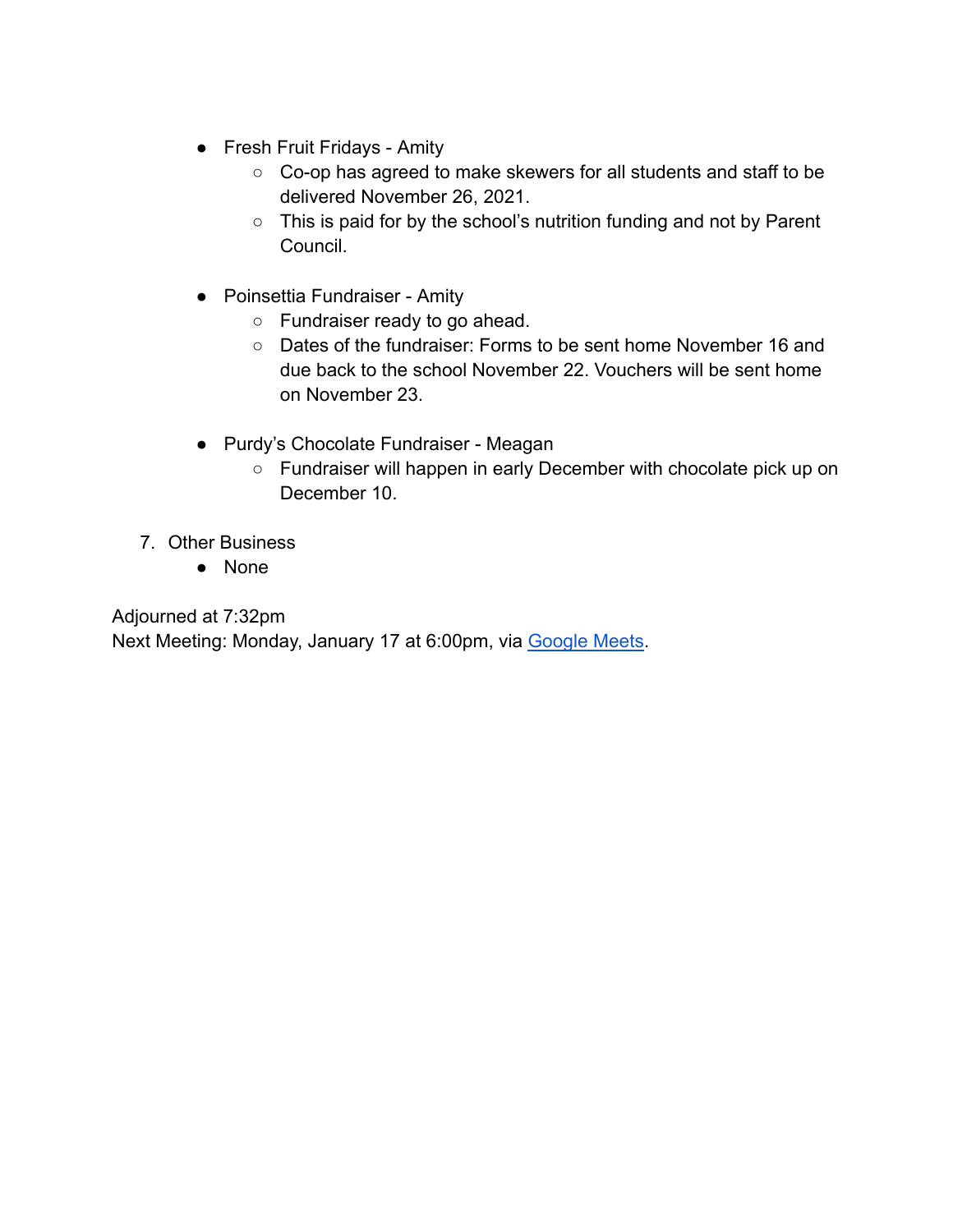- Fresh Fruit Fridays Amity
	- Co-op has agreed to make skewers for all students and staff to be delivered November 26, 2021.
	- This is paid for by the school's nutrition funding and not by Parent Council.
- Poinsettia Fundraiser Amity
	- Fundraiser ready to go ahead.
	- Dates of the fundraiser: Forms to be sent home November 16 and due back to the school November 22. Vouchers will be sent home on November 23.
- Purdy's Chocolate Fundraiser Meagan
	- Fundraiser will happen in early December with chocolate pick up on December 10.
- 7. Other Business
	- None

Adjourned at 7:32pm

Next Meeting: Monday, January 17 at 6:00pm, via [Google](http://meet.google.com/ehn-nuky-erb) Meets.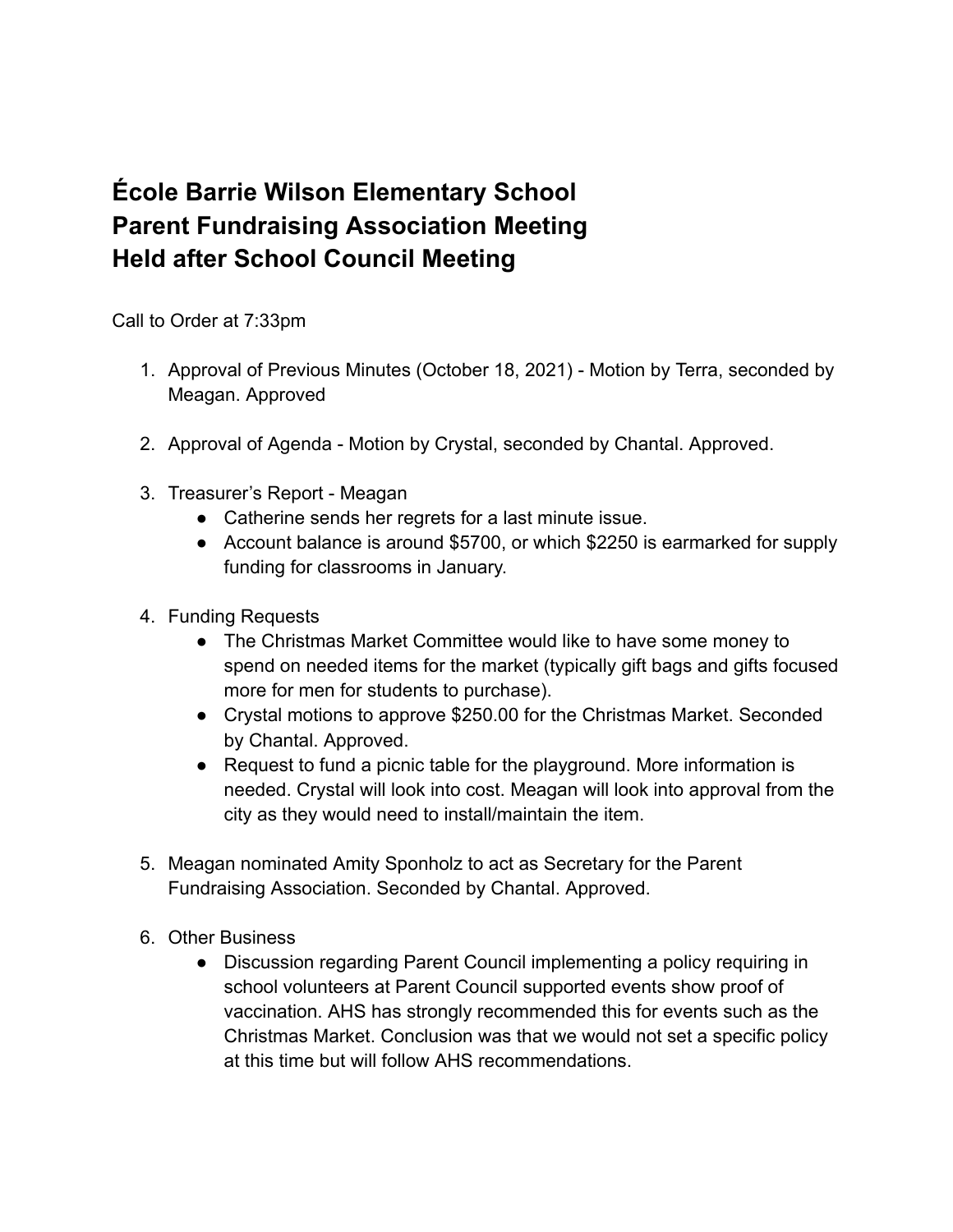## **École Barrie Wilson Elementary School Parent Fundraising Association Meeting Held after School Council Meeting**

Call to Order at 7:33pm

- 1. Approval of Previous Minutes (October 18, 2021) Motion by Terra, seconded by Meagan. Approved
- 2. Approval of Agenda Motion by Crystal, seconded by Chantal. Approved.
- 3. Treasurer's Report Meagan
	- Catherine sends her regrets for a last minute issue.
	- Account balance is around \$5700, or which \$2250 is earmarked for supply funding for classrooms in January.
- 4. Funding Requests
	- The Christmas Market Committee would like to have some money to spend on needed items for the market (typically gift bags and gifts focused more for men for students to purchase).
	- Crystal motions to approve \$250.00 for the Christmas Market. Seconded by Chantal. Approved.
	- Request to fund a picnic table for the playground. More information is needed. Crystal will look into cost. Meagan will look into approval from the city as they would need to install/maintain the item.
- 5. Meagan nominated Amity Sponholz to act as Secretary for the Parent Fundraising Association. Seconded by Chantal. Approved.
- 6. Other Business
	- Discussion regarding Parent Council implementing a policy requiring in school volunteers at Parent Council supported events show proof of vaccination. AHS has strongly recommended this for events such as the Christmas Market. Conclusion was that we would not set a specific policy at this time but will follow AHS recommendations.